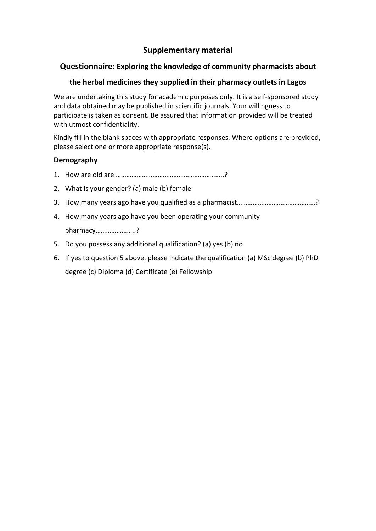# **Supplementary material**

## **Questionnaire: Exploring the knowledge of community pharmacists about**

## **the herbal medicines they supplied in their pharmacy outlets in Lagos**

We are undertaking this study for academic purposes only. It is a self-sponsored study and data obtained may be published in scientific journals. Your willingness to participate is taken as consent. Be assured that information provided will be treated with utmost confidentiality.

Kindly fill in the blank spaces with appropriate responses. Where options are provided, please select one or more appropriate response(s).

### **Demography**

- 1. How are old are ……………………………………………………..?
- 2. What is your gender? (a) male (b) female
- 3. How many years ago have you qualified as a pharmacist………………………………………?
- 4. How many years ago have you been operating your community pharmacy…………………..?
- 5. Do you possess any additional qualification? (a) yes (b) no
- 6. If yes to question 5 above, please indicate the qualification (a) MSc degree (b) PhD degree (c) Diploma (d) Certificate (e) Fellowship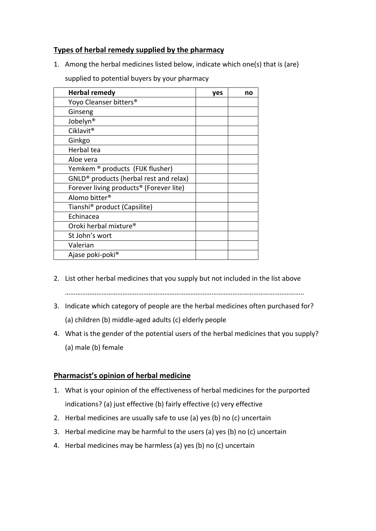#### **Types of herbal remedy supplied by the pharmacy**

1. Among the herbal medicines listed below, indicate which one(s) that is (are)

| <b>Herbal remedy</b>                                | yes | no |
|-----------------------------------------------------|-----|----|
| Yoyo Cleanser bitters <sup>®</sup>                  |     |    |
| Ginseng                                             |     |    |
| Jobelyn <sup>®</sup>                                |     |    |
| Ciklavit <sup>®</sup>                               |     |    |
| Ginkgo                                              |     |    |
| Herbal tea                                          |     |    |
| Aloe vera                                           |     |    |
| Yemkem ® products (FIJK flusher)                    |     |    |
| GNLD <sup>®</sup> products (herbal rest and relax)  |     |    |
| Forever living products <sup>®</sup> (Forever lite) |     |    |
| Alomo bitter <sup>®</sup>                           |     |    |
| Tianshi <sup>®</sup> product (Capsilite)            |     |    |
| Echinacea                                           |     |    |
| Oroki herbal mixture <sup>®</sup>                   |     |    |
| St John's wort                                      |     |    |
| Valerian                                            |     |    |
| Ajase poki-poki <sup>®</sup>                        |     |    |

supplied to potential buyers by your pharmacy

- 2. List other herbal medicines that you supply but not included in the list above ………………………………………………………………………………………………………………………..
- 3. Indicate which category of people are the herbal medicines often purchased for? (a) children (b) middle‐aged adults (c) elderly people
- 4. What is the gender of the potential users of the herbal medicines that you supply? (a) male (b) female

# **Pharmacist's opinion of herbal medicine**

- 1. What is your opinion of the effectiveness of herbal medicines for the purported indications? (a) just effective (b) fairly effective (c) very effective
- 2. Herbal medicines are usually safe to use (a) yes (b) no (c) uncertain
- 3. Herbal medicine may be harmful to the users (a) yes (b) no (c) uncertain
- 4. Herbal medicines may be harmless (a) yes (b) no (c) uncertain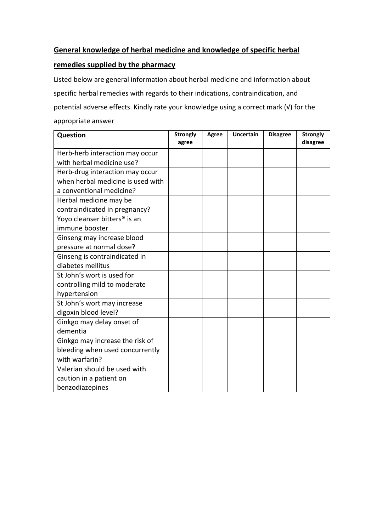## **General knowledge of herbal medicine and knowledge of specific herbal**

## **remedies supplied by the pharmacy**

Listed below are general information about herbal medicine and information about specific herbal remedies with regards to their indications, contraindication, and potential adverse effects. Kindly rate your knowledge using a correct mark (√) for the appropriate answer

| Question                                 | <b>Strongly</b><br>agree | <b>Agree</b> | <b>Uncertain</b> | <b>Disagree</b> | <b>Strongly</b><br>disagree |
|------------------------------------------|--------------------------|--------------|------------------|-----------------|-----------------------------|
|                                          |                          |              |                  |                 |                             |
| Herb-herb interaction may occur          |                          |              |                  |                 |                             |
| with herbal medicine use?                |                          |              |                  |                 |                             |
| Herb-drug interaction may occur          |                          |              |                  |                 |                             |
| when herbal medicine is used with        |                          |              |                  |                 |                             |
| a conventional medicine?                 |                          |              |                  |                 |                             |
| Herbal medicine may be                   |                          |              |                  |                 |                             |
| contraindicated in pregnancy?            |                          |              |                  |                 |                             |
| Yoyo cleanser bitters <sup>®</sup> is an |                          |              |                  |                 |                             |
| immune booster                           |                          |              |                  |                 |                             |
| Ginseng may increase blood               |                          |              |                  |                 |                             |
| pressure at normal dose?                 |                          |              |                  |                 |                             |
| Ginseng is contraindicated in            |                          |              |                  |                 |                             |
| diabetes mellitus                        |                          |              |                  |                 |                             |
| St John's wort is used for               |                          |              |                  |                 |                             |
| controlling mild to moderate             |                          |              |                  |                 |                             |
| hypertension                             |                          |              |                  |                 |                             |
| St John's wort may increase              |                          |              |                  |                 |                             |
| digoxin blood level?                     |                          |              |                  |                 |                             |
| Ginkgo may delay onset of                |                          |              |                  |                 |                             |
| dementia                                 |                          |              |                  |                 |                             |
| Ginkgo may increase the risk of          |                          |              |                  |                 |                             |
| bleeding when used concurrently          |                          |              |                  |                 |                             |
| with warfarin?                           |                          |              |                  |                 |                             |
| Valerian should be used with             |                          |              |                  |                 |                             |
| caution in a patient on                  |                          |              |                  |                 |                             |
| benzodiazepines                          |                          |              |                  |                 |                             |